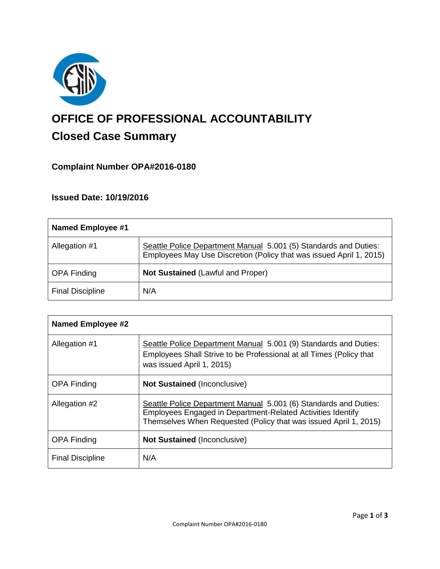

# **OFFICE OF PROFESSIONAL ACCOUNTABILITY Closed Case Summary**

# **Complaint Number OPA#2016-0180**

# **Issued Date: 10/19/2016**

| <b>Named Employee #1</b> |                                                                                                                                         |
|--------------------------|-----------------------------------------------------------------------------------------------------------------------------------------|
| Allegation #1            | Seattle Police Department Manual 5.001 (5) Standards and Duties:<br>Employees May Use Discretion (Policy that was issued April 1, 2015) |
| <b>OPA Finding</b>       | <b>Not Sustained (Lawful and Proper)</b>                                                                                                |
| <b>Final Discipline</b>  | N/A                                                                                                                                     |

| <b>Named Employee #2</b> |                                                                                                                                                                                                     |
|--------------------------|-----------------------------------------------------------------------------------------------------------------------------------------------------------------------------------------------------|
| Allegation #1            | Seattle Police Department Manual 5.001 (9) Standards and Duties:<br>Employees Shall Strive to be Professional at all Times (Policy that<br>was issued April 1, 2015)                                |
| <b>OPA Finding</b>       | <b>Not Sustained (Inconclusive)</b>                                                                                                                                                                 |
| Allegation #2            | Seattle Police Department Manual 5.001 (6) Standards and Duties:<br>Employees Engaged in Department-Related Activities Identify<br>Themselves When Requested (Policy that was issued April 1, 2015) |
| <b>OPA Finding</b>       | <b>Not Sustained (Inconclusive)</b>                                                                                                                                                                 |
| <b>Final Discipline</b>  | N/A                                                                                                                                                                                                 |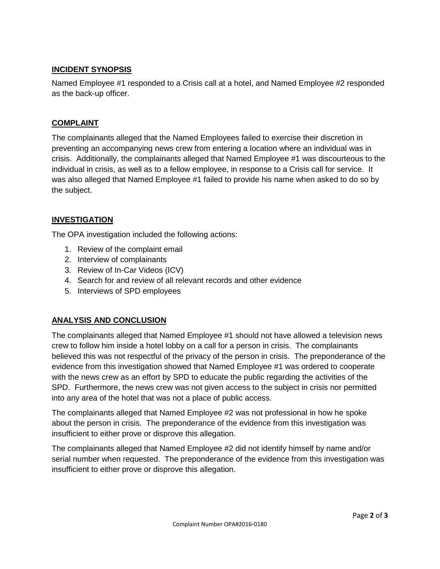## **INCIDENT SYNOPSIS**

Named Employee #1 responded to a Crisis call at a hotel, and Named Employee #2 responded as the back-up officer.

#### **COMPLAINT**

The complainants alleged that the Named Employees failed to exercise their discretion in preventing an accompanying news crew from entering a location where an individual was in crisis. Additionally, the complainants alleged that Named Employee #1 was discourteous to the individual in crisis, as well as to a fellow employee, in response to a Crisis call for service. It was also alleged that Named Employee #1 failed to provide his name when asked to do so by the subject.

#### **INVESTIGATION**

The OPA investigation included the following actions:

- 1. Review of the complaint email
- 2. Interview of complainants
- 3. Review of In-Car Videos (ICV)
- 4. Search for and review of all relevant records and other evidence
- 5. Interviews of SPD employees

#### **ANALYSIS AND CONCLUSION**

The complainants alleged that Named Employee #1 should not have allowed a television news crew to follow him inside a hotel lobby on a call for a person in crisis. The complainants believed this was not respectful of the privacy of the person in crisis. The preponderance of the evidence from this investigation showed that Named Employee #1 was ordered to cooperate with the news crew as an effort by SPD to educate the public regarding the activities of the SPD. Furthermore, the news crew was not given access to the subject in crisis nor permitted into any area of the hotel that was not a place of public access.

The complainants alleged that Named Employee #2 was not professional in how he spoke about the person in crisis. The preponderance of the evidence from this investigation was insufficient to either prove or disprove this allegation.

The complainants alleged that Named Employee #2 did not identify himself by name and/or serial number when requested. The preponderance of the evidence from this investigation was insufficient to either prove or disprove this allegation.